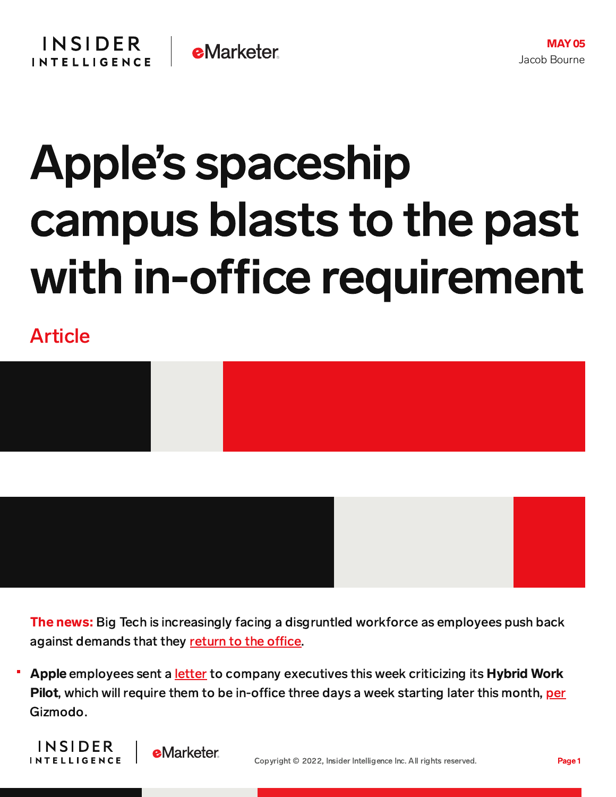

## Apple's spaceship campus blasts to the past with in-office requirement

Article



The news: Big Tech is increasingly facing a disgruntled workforce as employees push back against demands that they return to the office.

Apple employees sent a [letter](https://appletogether.org/hotnews/thoughts-on-office-bound-work) to company executives this week criticizing its Hybrid Work Pilot, which will require them to be in-office three days a week starting later this month, [per](https://gizmodo.com/apple-workers-want-to-re-think-strict-return-to-office-1848874625) Gizmodo.



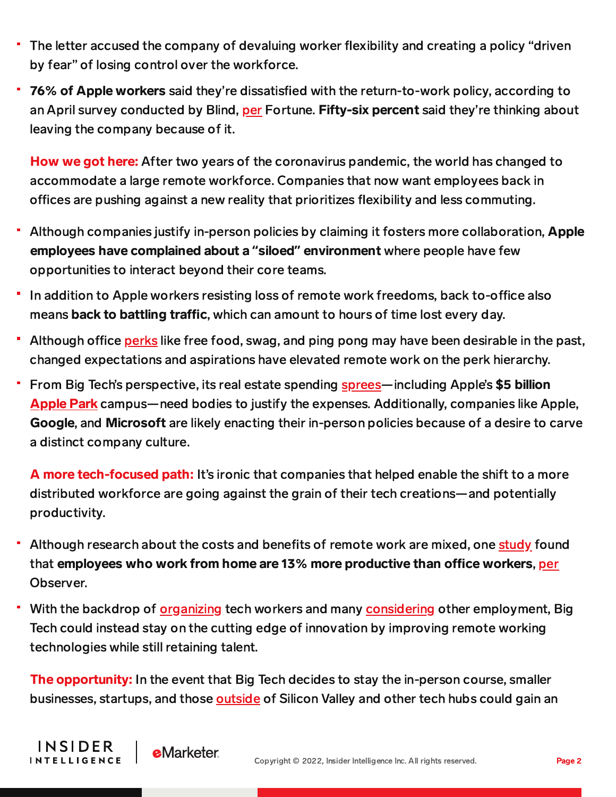- The letter accused the company of devaluing worker flexibility and creating a policy "driven by fear" of losing control over the workforce.
- 76% of Apple workers said they're dissatisfied with the return-to-work policy, according to an April survey conducted by Blind, [per](https://fortune.com/2022/05/02/apple-workers-unhappy-return-to-the-office-hybrid-work-pandemic/) Fortune. Fifty-six percent said they're thinking about leaving the company because of it.

How we got here: After two years of the coronavirus pandemic, the world has changed to accommodate a large remote workforce. Companies that now want employees back in offices are pushing against a new reality that prioritizes flexibility and less commuting.

- Although companies justify in-person policies by claiming it fosters more collaboration, Apple employees have complained about a **"**siloed**"** environment where people have few opportunities to interact beyond their core teams.
- In addition to Apple workers resisting loss of remote work freedoms, back to-office also means back to battling traffic, which can amount to hours of time lost every day.
- Although office [perks](https://www.nytimes.com/2022/04/12/technology/rto-return-office-technology.html) like free food, swag, and ping pong may have been desirable in the past, changed expectations and aspirations have elevated remote work on the perk hierarchy.
- From Big Tech's perspective, its real estate spending [sprees—](https://content-na2.emarketer.com/google-spend-9-5b-this-year-on-us-offices-data-centers)including Apple's \$5 billion [Apple](https://www.therichest.com/luxury-architecture/apple-park-campus-inside/) Park campus—need bodies to justify the expenses. Additionally, companies like Apple, Google, and Microsoft are likely enacting their in-person policies because of a desire to carve a distinct company culture.

A more tech-focused path: It's ironic that companies that helped enable the shift to a more distributed workforce are going against the grain of their tech creations—and potentially productivity.

- Although research about the costs and benefits of remote work are mixed, one [study](https://nbloom.people.stanford.edu/sites/g/files/sbiybj4746/f/wfh.pdf) found that employees who work from home are 13% more productive than office workers, [per](https://observer.com/2022/04/big-tech-and-finance-companies-want-workers-to-return-even-if-its-not-good-for-business/) Observer.
- With the backdrop of [organizing](https://content-na2.emarketer.com/growing-labor-movement-dealt-blow-with-amazon-warehouse-loss) tech workers and many [considering](https://content-na2.emarketer.com/great-resignation-disrupting-tech-industry) other employment, Big Tech could instead stay on the cutting edge of innovation by improving remote working technologies while still retaining talent.

The opportunity: In the event that Big Tech decides to stay the in-person course, smaller businesses, startups, and those [outside](https://www.nytimes.com/2022/04/23/business/dealbook/remote-work-tech.html) of Silicon Valley and other tech hubs could gain an

**INSIDER** 

**INTELLIGENCE** 

**eMarketer**